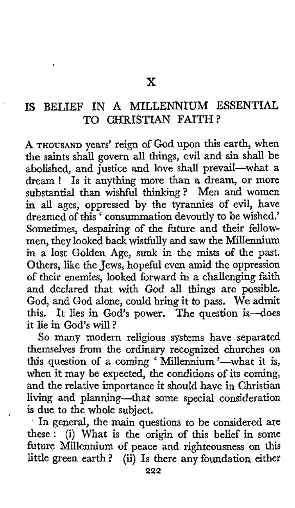## **IS** BELIEF IN A MILLENNIUM **ESSENTIAL**  TO CHRISTIAN FAITH?

**A THOUSAND** years' reign of God upon this earth, when the saints shall govern all things, evil and sin shall be abolished, and justice and love shall prevail-what a dream ! Is it anything more than a dream, or more substantial than wishful thinking? Men and women in all ages, oppressed by the tyrannies of evil, have dreamed of this<sup>2</sup> consummation devoutly to be wished.' Sometimes, despairing of the fiture and their fellowmen, they looked back wistfully and saw the Millennium in a lost Golden Age, sunk in the mists **of** the past. Others, like the Jews, hopeful even amid the oppression of their enemies, looked forward in a challenging faith and declared that with God all things *are* possible. God, and God alone, could bring it to pass. We admit this. It lies in God's power. The question is-does it lie in God's will?

So many modern religious systems have separated themselves from the ordinary recognized churches on this question of a coming ' Millennium '-what it is, when it may be expected, the conditions of its coming, and the relative importance it should have in Christian living and planning-that some special consideration **is** due to the whole subject.

. In general, the main questions to be considered are these : (i) What is the origin of this belief in some future Millennium of peace and righteousness on this little green earth? (ii) Is there any foundation either

,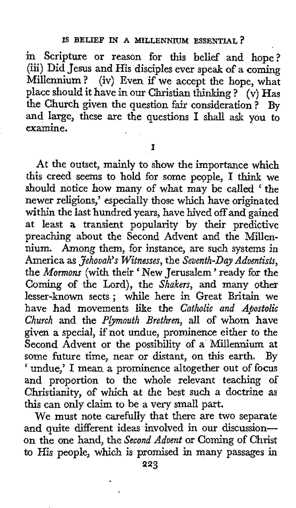in Scripture or reason for this belief and hope? (iii) Did Jesus and His disciples ever speak of **a** coming Millennium? (iv) Even if we accept the hope, what place should it have in our Christian thinking ? (v) Has the Church given the question fair consideration ? By and large, these are the questions **I** shall ask you to examine.

**I** 

At the outset, mainly to show the importance which this creed seems to hold for some people, I **think** we should notice how many of what may be called ' the newer religions,' especially those which have originated within the last hundred years, have hived **off** and gained at least **a** transient popularity by their predictive preaching about the Second Advent and the Millennium. Among them, for instance, are such systems in America as *Jehovah's Witnesses*, the *Seventh-Day Adventists*, the *Mormons* (with their ' New Jerusalem ' ready for the Coming of the Lord), the *Shakers,* and many other lesser-known sects ; while here in Great Britain we have had movements like the *Catholic and Apostolic*  Church and the *Plymouth Brethren*, all of whom have given a special, if not undue, prominence either *to* the Second Advent or the possibility of **a** Millennium at some future time, near or distant, on this earth. By ' undue,' I mean a prominence altogether out of focus and proportion to the whole relevant teaching of Christianity, of which at the best such a doctrine **as**  this can only claim to be a very small part.

We must note carefully that there are **two** separate and quite different ideas involved in our discussionon the one hand, the *Srxond Advent* or Coming of Christ to His people, which is promised in many passages in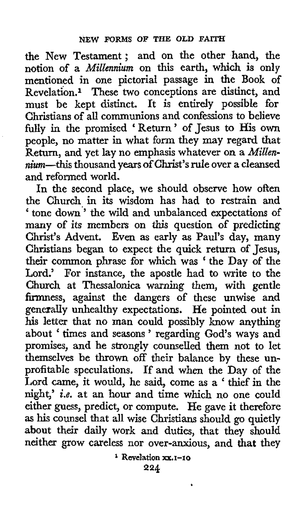the New Testament; and on the other hand, the notion of a *Millennium* on this earth, which is only mentioned **in** one pictorial passage in the Book of Revelation.1 These two conceptions are distinct, and must be kept distinct. It is entirely possible for Christians **of** all communions and confessions to believe fully in the promised ' Return ' of Jesus to His own people, no matter in what form they may regard that Return, and yet lay no emphasis whatever on a *Millennium-this* thousand years **of** Christ's rule over a cleansed and reformed world.

In the second place, we should observe how often the Church in its wisdom has had to restrain and ' tone down'' the wild and unbalanced expectations **of**  many of its members on *this* question of predicting Christ's Advent. Even as early as Paul's day, many Christians began to expect the quick return of Jesus, their common phrase for which was ' the Day of the Lord.' For instance, the apostle had to write to the Church at Thessalonica warning them, with gentle firmness, against the dangers **of** these unwise and generally unhealthy expectations. He pointed out in his letter that no man could possibly know anything about ' times and seasons ' regarding God's ways and promises, and he strongly counselled them not to let themselves be thrown off their balance by these unprofitable speculations. If and when the Day of the Lord came, it would, he said, come as a ' thief in the night,' *i.e.* at an hour and time which no one could either guess, predict, or compute. He gave **it** therefore **as** his counsel that all wise Christians should go quietly about their daily **work** and duties, that they should neither grow careless nor over-anxious, and **that** they

**<sup>1</sup>Revelation XX.I-10**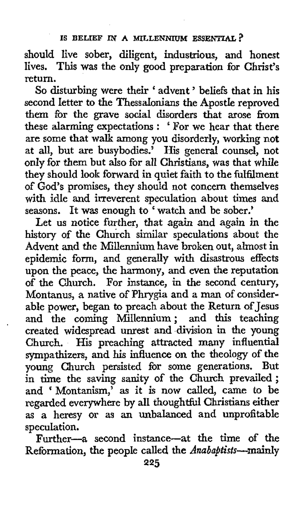## **IS BELIEF IN A MILLENNIUM ESSENTIAL?**

should live sober, diligent, industrious, and honest lives. **This** was the only good preparation for Christ's return.

*So* disturbing were their ' advent ' beliefs that in **his**  second letter to the Thessalonians the Apostle reproved them for the grave social disorders that arose fiom these alarming expectations : ' For we hear that there are some that walk among you disorderly, working not at all, but are busybodies.' His general counsel, not **only** for them but also for all Christians, was that while they should **look** forward in quiet faith to the fulfilment of God's promises, they should not concern themselves with idle and irreverent speculation about times and seasons. It was enough to<sup>\*</sup> watch and be sober.'

Let us notice further, that *again* and again in the history of the Church similar speculations about the Advent and the Millennium have broken out, almost in epidemic form, and generally with disastrous effects upon the peace, the harmony, and even the reputation of the Church. For instance, in the second century, Montanus, a native of Phrygia and a man of considerable power, began to preach about the Return of Jesus and the coming Millennium; and this teaching created widespread unrest and division in the young Church. His preaching attracted many influential sympathizers, and **his** influence on the theology **of** the young Church persisted for some generations. But in time the saving sanity of the Church prevailed; and ' Montanism,' as it is now called, came to be regarded everywhere by all thoughtful Christians either as a heresy or as an unbalanced and unprofitable speculation.

'

Further-a second instance-at the time of the Reformation, the people called the *Anabajtists--maidy*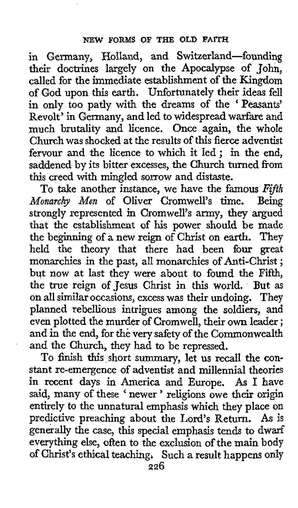in Germany, Holland, and Switzerland-founding their doctrines largely on the Apocalypse of John, called for the immediate establishment of the Kingdom of God upon this earth. Unfortunately their ideas fell in only too patly with the dreams of the 'Peasants' Revolt' in Germany, and led to widespread warfare and much brutality and licence. Once again, the whole Church was shocked at the results of this fierce adventist fervour and the licence to which it led ; in the end, saddened by its bitter excesses, the Church turned fiom this creed with mingled sorrow and distaste.

To take another instance, we have the famous Fifth barechy Men of Oliver Cromwell's time. Being *Monarchy Men* of Oliver Cromwell's time. strongly represented in Cromwell's army, they argued that the establishment of his power should **be** made the beginning of *a* new reign of Christ on earth. They held the theory that there had been four great monarchies in the past, all monarchies of Anti-Christ ; but **now** at last they were about to found the **Fifth,**  the true reign of Jesus Christ in this world. But as on all similar occasions, excess was their undoing. They planned rebellious intrigues among the soldiers, and even plotted the murder of Cromwell, their **own** leader ; and in the end, for the very safety of the Commonwealth and the Church, they had to be repressed.

To finish this short summary, let **us** recall the **con**stant re-emergence of adventist and millennia1 theories in recent days in America and Europe. *As* **I** have said, many of these ' newer ' religions **owe** their origin entirely to the unnatural emphasis which they place **on**  predictive preaching about the Lord's Return. **As** is generally the case, this special emphasis tends to dwarf everything else, often to the exclusion of the main body of Christ's ethical teaching, Such a result happens only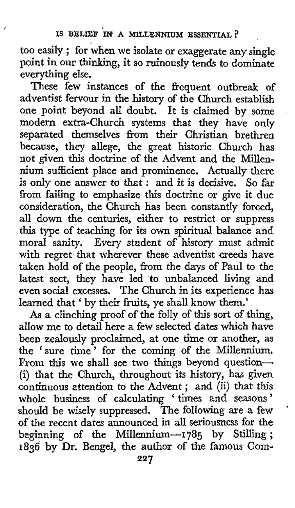too easily ; for when we isolate or exaggerate any single point in our thinking, it so ruinously tends to dominate everything else.

These few instances of the frequent outbreak of adventist fervour in the history of the Church establish one point beyond all doubt. It is claimed by some modern extra-Church systems that they have only separated themselves from their Christian brethren because, they allege, the great historic Church has not given this doctrine of the Advent and the Millennium sufficient place and prominence. Actually there is only one answer to that : and it is decisive. So far from failing to emphasize this doctrine or give it due consideration, the Church has been constantly forced, all down the centuries, either to restrict or suppress this type of teaching for its own spiritual balance and moral sanity. Every student of history must admit with regret that wherever these adventist creeds have taken hold of the people, from the days of Paul to the latest sect, they have led to unbalanced living and even social excesses. The Church in its experience **has**  learned that ' by their fruits, ye shall know them.'

**As** a clinching proof of the folly of **this** sort of thing, allow me to detail here a few selected dates which have been zealously proclaimed, at one time or another, as the 'sure time ' for the coming of the Millennium. From this we shall see two things beyond question-(i) that the Church, throughout its history, has given continuous attention to the Advent ; and *(5)* that this whole business of calculating ' times and seasons ' should be wisely suppressed. The following are a few <sup>t</sup> of the recent dates announced in all seriousness for the of the recent dates announced in all seriousness for the beginning of the Millennium---1785 by Stilling; **1836** by Dr. Bengel, the author of the famous Com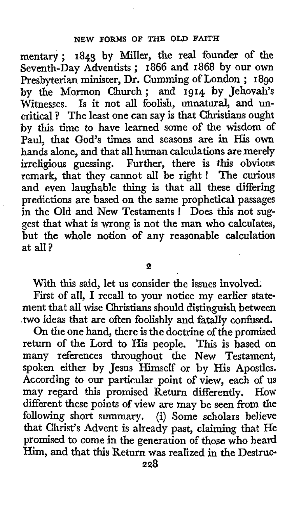mentary ; **1843** by Miller, the real founder of the mentary; **1848** by Miller, the real founder of the<br>Seventh-Day Adventists; **1866** and **1868** by our own Presbyterian minister, Dr. Gumming of London ; **<sup>1890</sup>** by the Mormon Church; and **1914 by** Jehovah's Witnesses. Is it not all foolish, unnatural, and uncritical ? The least one can say is that Christians ought by this time to have learned some of the wisdom of Paul, that God's times and seasons are in His **own**  hands alone, and that all human calculations are merely irreligious guessing. Further, there is this obvious remark, that they cannot all be right ! The curious and even laughable thing is that all these differing predictions are based on the same prophetical passages in the Old and New Testaments ! Does this not suggest that what is **wrong** is not the man who calculates, but the whole notion of any reasonable calculation at all?

**2** 

With this said, let *us* consider **the** issues involved.

First **of** all, I recall to your notice my earlier statement that all **wise** Christians should distinguish between .two ideas that are often foolishly and fatally confused.

On the one hand, there is the doctrine of the promised return **of** the Lord to His people. This is based on many references throughout the New Testament, spoken either by Jesus Himself or by His Apostles. According to our particular point of view, each of **US**  may regard this promised Return differently. **HOW**  different these points of view are may be seen from the following short summary. (i) Some scholars believe that Christ's Advent is already past, claiming that He promised to come in the generation of those who heard Him, and that this Return was realized in the Destruc-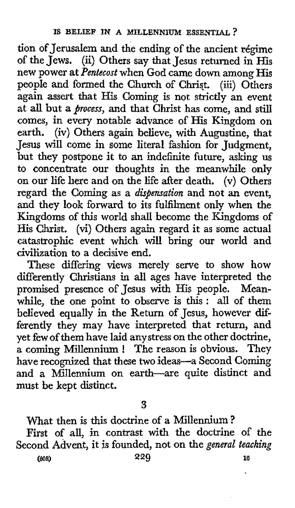tion of Jerusalem and the ending of the ancient régime of the Jews. (ii) Others say that Jesus returned in His new power at *Pentecost* when God came down among His people and formed the Church of Chriqt. (iii) Others again assert that His Coming is not strictly an event at **all** but *aprocess,* and that Christ has come, and still comes, in every notable advance of His Kingdom on earth. (iv) Others again believe, with Augustine, that Jesus will come in some literal fashion for Judgment, but they postpone it to an indefinite future, asking us to concentrate our thoughts in the meanwhile only on our life here and on the life after death. **(v)** Others regard the Coming as a *dispensation* and not an event, and they look forward to its fulfilment only when the Kingdoms of this world shall become the Kingdoms of His Christ. (vi) Others again regard it as some actual catastrophic event which will bring our world and civilization to a decisive end.

These differing views merely serve to show how differently Christians in all ages have interpreted the promised presence of Jesus with His people. Meanwhile, the one point to observe is this : all of them believed equally in the Return of Jesus, however differently they may have interpreted that return, and yet few of them have laid any stress on the other doctrine, a coming Millennium ! The reason is obvious. They have recognized that these two ideas-a Second Coming and a Millennium on earth-are quite distinct and must be kept distinct.

**3** 

What then is this doctrine of a Millennium? First of all, in contrast with the doctrine of the Second Advent, it is founded, not on the *general teaching*  **(608) 229** *10*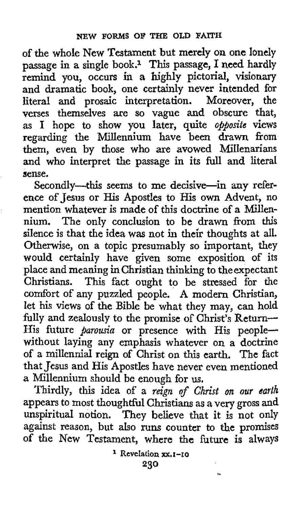of the whole New Testament but merely on one lonely passage in **a** single book.1 **This** passage, **I** need hardly remind you, occurs in a bighly pictorial, Visionary and dramatic book, one certainly never intended for literal and prosaic interpretation. Moreover, the verses themselves are so vague and obscure that, as I hope to show you later, quite *opposite* views regarding the Millennium have been drawn from them, even by those who are avowed MIIenarians and who interpret the passage in its full and literal sense.

Secondly--this seems to me decisive-in any reference of Jesus or His Apostles to His **own** Advent, no mention whatever is made of this doctrine of a Millennium. The only conclusion to be drawn from **this**  silence is that the idea was not in their thoughts at all. Otherwise, on a topic presumably so important, they would certainly have given some exposition of its place and meaning in Christian thinking to the expectant Christians. This fact ought to be stressed for the comfort of any puzzled people. **A** modern Christian, let his views of the Bible be what they may, can hold fully and zealously to the promise of Christ's Return-His future *parousia* or presence with His peoplewithout laying any emphasis whatever on a doctrine of a millennia1 reign of Christ on this earth. The fact that Jesus and His Apostles have never even mentioned a Millennium should be enough for us.

Thirdly, this idea of a *reign* of *Christ on our earth*  appears to most thoughtful Christians as a very gross and unspiritual notion. They believe that it is not only against reason, but also runs counter to the **promises of** the New Testament, where the future is always

> **230 Revelation XX.I-IO**

> > **n**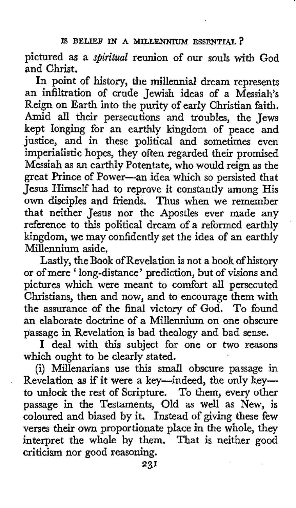## IS BELIEF IN A MILLENNIUM ESSENTIAL ?

pictured as a *spiritual* reunion of our souls with God and Christ.

In point of history, the millennia1 dream represents an infiltration of crude Jewish ideas of a Messiah's Reign on Earth into the purity of early Christian faith. Amid all their persecutions and troubles, the Jews kept longing for an earthly kingdom of peace and justice, and in these political and sometimes even imperialistic hopes, they often regarded their promised Messiah as **an** earthly Potentate, who would reign as the great Prince of Power-an idea which so persisted that Jesus Himself had to reprove it constantly among His own disciples and friends. Thus when we remember that neither Jesus nor the Apostles ever made any reference to this political dream of a reformed earthly kingdom, we may confidently set the idea of an earthly Millennium aside.

Lastly, the Book of Revelation is not a book of history or of mere 'long-distance' prediction, but of visions and pictures which were meant to comfort all persecuted Christians, then and now, and to encourage them with the assurance of the final victory of God. To found an elaborate doctrine of a Millennium on one obscure passage in Revelation is bad theology and bad sense.

**I** deal with this subject for one or two reasons which ought to be clearly stated.

(i) Millenarians use this small obscure passage in Revelation as if it were a key-indeed, the only keyto unlock the rest of Scripture. To them, every other passage in the Testaments, Old as well as New, is coloured and biased by it. Instead of giving these few verses their own proportionate place in the whole, they interpret the whole by them. That is neither good criticism nor good reasoning.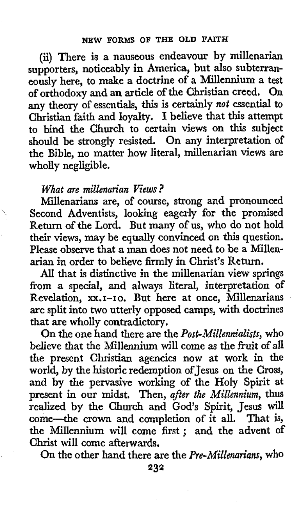*(5)* There is a nauseous endeavour by millenarian supporters, noticeably in America, but also subterraneously here, to make a doctrine of a Millennium a test of orthodoxy and an article of the Christian creed. On any theory of essentials, this is certainly *not* essential to Christian **faith** and loyalty. **I** believe that this attempt to bind the Church to certain views on this subject should be strongly resisted. On any interpretation of the Bible, no matter how literal, millenarian views are wholly negligible.

## *What are millenarian Views?*

Millenarians are, of course, strong and pronounced Second Adventists, looking eagerly for the promised Return of the Lord. But many of us, who do not hold their views, may be equally convinced on this question. Please observe that a **man** does not need to be a Millenarian in order to believe firmly in Christ's Return.

All that is distinctive in the millenarian view springs from a special, and always literal, interpretation of Revelation, xx.1-10. But here at once, Millenarians are split into **two** utterly opposed camps, with doctrines that are wholly contradictory.

On the one hand there are the *Post-Millennialbts,* who believe that the Millennium will come as the fruit of all the present Christian agencies now at work in the world, by the historic redemption of Jesus on the Cross, and by the pervasive working of the Holy Spirit at present **in** our midst. Then, *after the Millennium,* thus realized by the Church and God's Spirit, Jesus will come-the crown and completion of it all. That is, the Millennium will come first ; and the advent **of**  Christ will come afterwards.

On the other hand there are the *Pre-Millenarians,* who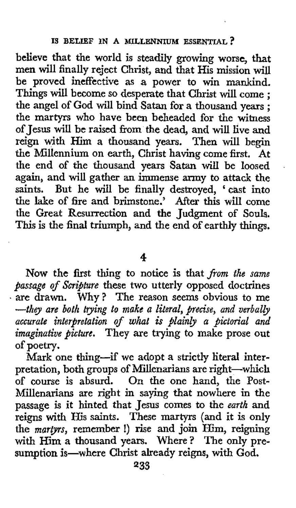believe that the world is steadily growing worse, that men will finally reject Christ, and that His mission will be proved ineffective as a power to win mankind. be proved ineffective as a power to win mankind.<br>Things will become so desperate that Christ will come; the angel **of** God will bind Satan for a thousand years ; the martyrs who have been beheaded for the witness of Jesus will be raised from the dead, and will live and reign with Him a thousand years. Then will begin the Millennium on earth, Christ having come first. At the end of the thousand years Satan will be loosed again, and will gather an immense army to attack the saints. But he will be finally destroyed, 'cast into the lake of fire and brimstone.' After **this** will come the Great Resurrection and the Judgment **of Souls. This** is the final triumph, and the end of earthly things.

**4** 

**Now** the first thing to notice is that *from the same passage of Scripture* these two utterly opposed doctrines are drawn. Why? The reason seems obvious to me *-they are both trying to make a literal, precise, and verbally accurate interpretation of what* **is** *plainly a pictorial and imaginative picture.* They axe trying to make prose out of poetry.

Mark one thing-if we adopt a strictly literal interpretation, both groups of Millenarians are right-whic of course is absurd. On the one hand, the Post-Millenarians are right in saying that nowhere in the passage is it hinted that Jesus comes to the *earth* and reigns with His saints. These martyrs (and it **is** only the *martyrs,* remember !) rise and **join** Him, reigning with Him a thousand years. Where? The only pre**sumption** is-where Christ already reigns, with God.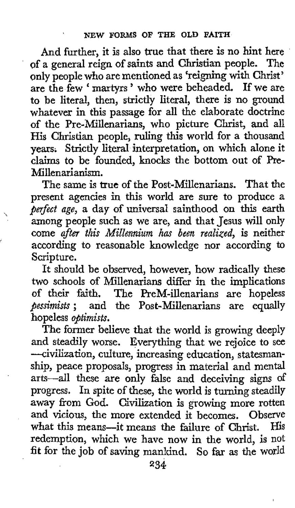And further, it is also true that there is no hint here of a general reign of saints and Christian people. The only people who are mentioned **as** 'reigning with Christ' are the few ' martyrs ' who were beheaded. If we are to be literal, then, strictly literal, there is no ground whatever in this passage for all the elaborate doctrine of the Pre-Millenarians, who picture Christ, and all His Christian people, ruling this world for **a** thousand years; Strictly literal interpretation, on which alone it claims to be founded, knocks the bottom out of Pre-Millenarianism.

The same is true of the Post-Millenarians. That the present agencies in this world are sure to produce a *perfect age,* a day of universal sainthood on this earth among people such as we are, and that Jesus will only come *after this Millennium has been realized,* is neither according to reasonable knowledge nor according to Scripture.

 $\mathbf{v}$ 

i<br>K

It should be observed, however, how radically these two schools of Millenarians differ in the implications of their faith. The PreM-illenarians are hopeless *pessimists* ; and the Post-Millenarians are equally hopeless *optimists.* 

The former believe that the world is growing deeply and steadily worse. Everything that we rejoice to see -civilization, culture, increasing education, statesmanship, peace proposals, progress in material and mental arts-all these are only false and deceiving signs of progress. In spite of these, the world is turning steadily away ffom God. Civilization is growing more rotten and vicious, the more extended it becomes. Observe what this means-it means the failure of Christ. His redemption, which we have now in the world, is not **fit** for the job of saving mankind. So far as the world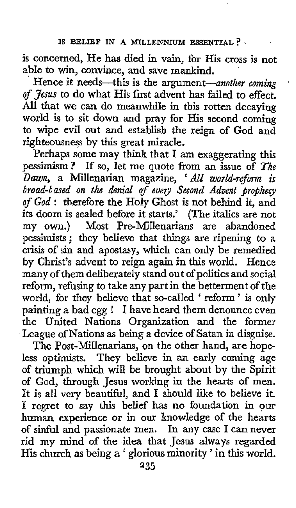is concerned, He has died in vain, for His cross is not able to win, convince, and save mankind.

Hence it needs—this is the argument—another coming of Jesus to do what His first advent has failed to effect. All that we can do meanwhile in this rotten decaying world is to sit down and pray for His second coming to wipe evil out and establish the reign of God and righteousness by this great miracle.

Perhaps some may think that I am exaggerating this pessimism? If so, let me quote from an issue of The Dawn, **a** Millenarian magazine, ' *All* world-reform *is*  broad-based on the denial of every Second Advent prophecy of God : therefore the Holy Ghost is not behind it, and its doom is sealed before it starts.' (The italics are not my **own.)** Most Pre-Millenarians are abandoned pessimists ; they believe that things are ripening to a crisis of sin and apostasy, which can only be remedied by Christ's advent to reign again in this world. Hence many of them deliberately stand out of politics and social reform, refusing to take any part in the betterment of the world, for they believe that so-called 'reform' is only painting **a** bad egg ! I have heard them denounce even the United Nations Organization and the former League of Nations as being *a* device of Satan in disguise.

The Post-Millenarians, on the other hand, are hopeless optimists. They believe in an early coming age of triumph which will be brought about by the Spirit of God, through Jesus working in the hearts of men. It is all very beautiful, and I should like to believe it. I regret to say this belief has no foundation in our human experience or in our knowledge of the hearts of sinful and passionate men. In any case I can never rid my mind of the idea that Jesus always regarded His **church as** being **a** ' glorious minority ' in this world.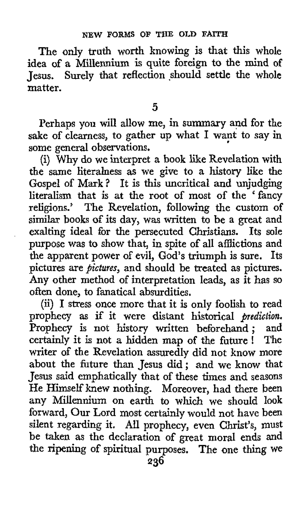The only truth worth knowing is that this whole idea of a Millennium is quite foreign to the mind of Jesus. Surely that reflection should settle the whole matter.

**5** 

Perhaps you will allow me, in summary and for the sake of clearness, to gather up what I want to say in some general observations.

(i) Why do we interpret a book like Revelation with the same literalness as we give to a history like the Gospel of **Mark?** It is this uncritical and unjudging literalism that is at the root of most of the 'fancy religions.' The Revelation, following the custom of similar books of its day, was written to be a great and exalting ideal for the persecuted Christians. Its sole purpose was to show that, in spite of all afflictions and the apparent power of evil, God's triumph is sure. Its pictures are *pictures,* and should be treated as pictures. Any other method of interpretation leads, as it has so often done, to fanatical absurdities.

*(5)* I stress once more that it is only foolish to read prophecy as if it were distant historical *prediction.*  Prophecy is not history written beforehand ; and certainly it is not a hidden map of the future ! The writer of the Revelation assuredly did not know more about the future than Jesus did; and we know that Jesus said emphatically that of these times and seasons He Himself knew nothing. Moreover, had there been any Millennium on earth to which we should look forward, Our Lord most certainly would not have been silent regarding it. All prophecy, even Christ's, must be taken as the declaration of great moral ends and the ripening of spiritual purposes. The one thing **we**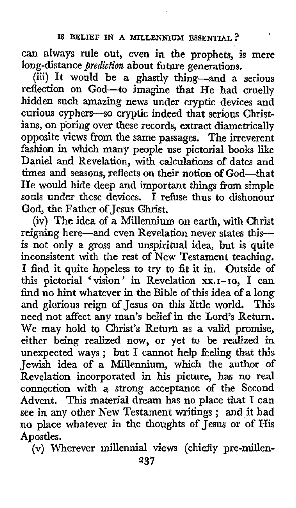can always rule out, even in the prophets, is mere long-distance *prediction* about future generations.

(iii) It would be a ghastly thing-and a serious reflection on God-to imagine that He had cruelly hidden such amazing news under cryptic devices and curious cyphers-so cryptic indeed that serious Christians, on poring over these records, extract diametrically opposite views from the same passages. The irreverent fashion in which many people use pictorial **books** like Daniel and Revelation, with calculations of dates and times and seasons, reflects on their notion *of* God-that He would hide deep and important things from simple souls under these devices. **I** refuse thus **to** dishonour God, the Father of Jesus Ghrist.

(iv) The idea **of** a Millennium on earth, with Christ reigning here-and even Revelation never states thisis not only a gross and unspiritual idea, but is quite inconsistent with the rest of New Testament teaching. I find it quite hopeless to try to fit it in. Outside of this pictorial 'vision' in Revelation xx.1-10, I can find no hint whatever in the Bible of this idea **of** a long and glorious reign of Jesus on this little world. **This**  need not affect any man's belief in the Lord's Return. We may hold to Christ's Return as a valid promise, either being realized now, or yet to be realized in unexpected ways ; but I cannot help feeling that this Jewish idea of a Millennium, which the author of Revelation incorporated in his picture, has no real connection with a strong acceptance of the Second Advent. This material dream has no place that **I** can see in any other New Testament writings ; and it had no place whatever in the thoughts of Jesus or of His Apostles.

(v) Wherever millennia1 views (chiefly pre-millen-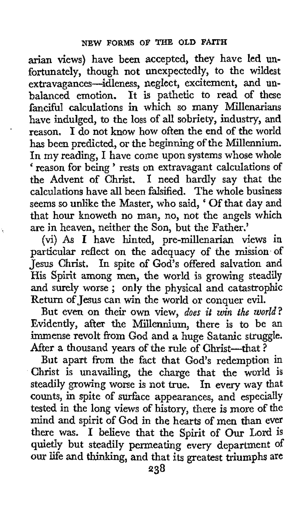arian views) have been accepted, they have led unfortunately, though not unexpectedly, to the wildest extravagances-idleness, neglect, excitement, and unbalanced emotion. It is pathetic to read of these fanciful calculations in which so many Millenarians have indulged, to the loss of all sobriety, industry, and reason. I do not know how often the end of the world has been predicted, or the beginning of the Millennium, In my reading, I have come upon systems whose whole reason for being ' rests on extravagant calculations of the Advent of Christ. **1** need hardly say that the calculations have all been falsified. The whole business seems so unlike the Master, who said, ' Of that day and that hour knoweth no man, no, not the angels which are in heaven, neither the Son, but the Father.'

(vi) As I have hinted, pre-millenarian views in particular reflect on the adequacy of the mission of Jesus Christ. In spite of God's offered salvation and His Spirit among men, the world is growing steadily and surely worse ; only the physical and catastrophic Return of Jesus can win the world or conquer evil.

**I** 

But even on their own view, *does it win the world?* Evidently, after the Millennium, there is to **be** an immense revolt from God and **a** huge Satanic struggle. After a thousand years of the rule of Christ-that?

But apart from the fact that God's redemption in Christ is unavailing, the charge that the world is steadily growing worse is not true, In every way that counts, in spite of surface appearances, and especially tested in the long views of history, there is more of the mind and spirit of God in the hearts of men than ever there was. I believe that the Spirit of Our Lord is quietly but steadily permeating every department of our life and thinking, and that its greatest triumphs are